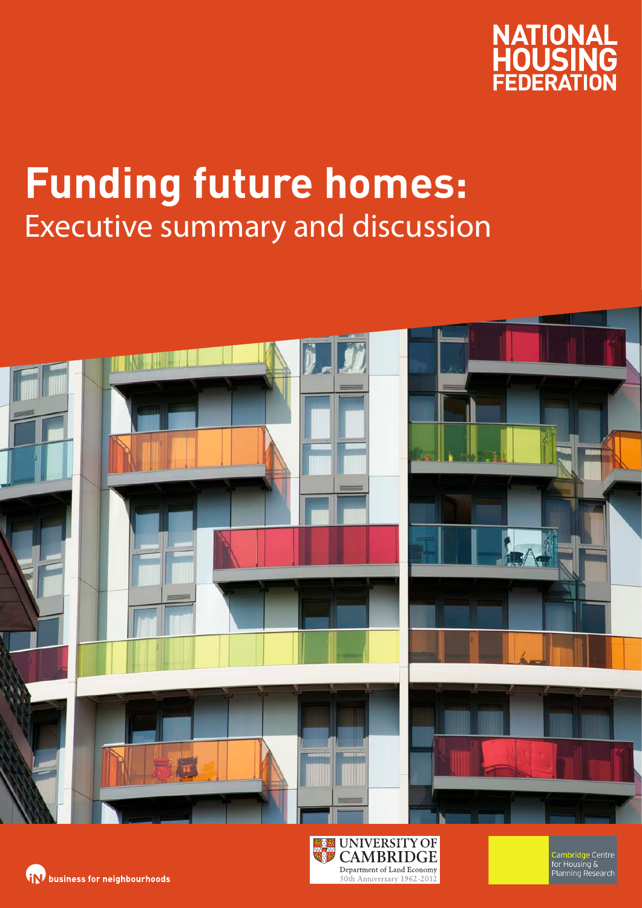

# **Funding future homes:**  Executive summary and discussion



50th Anniversary 1962-2012

**(iN)** business for neighbourhoods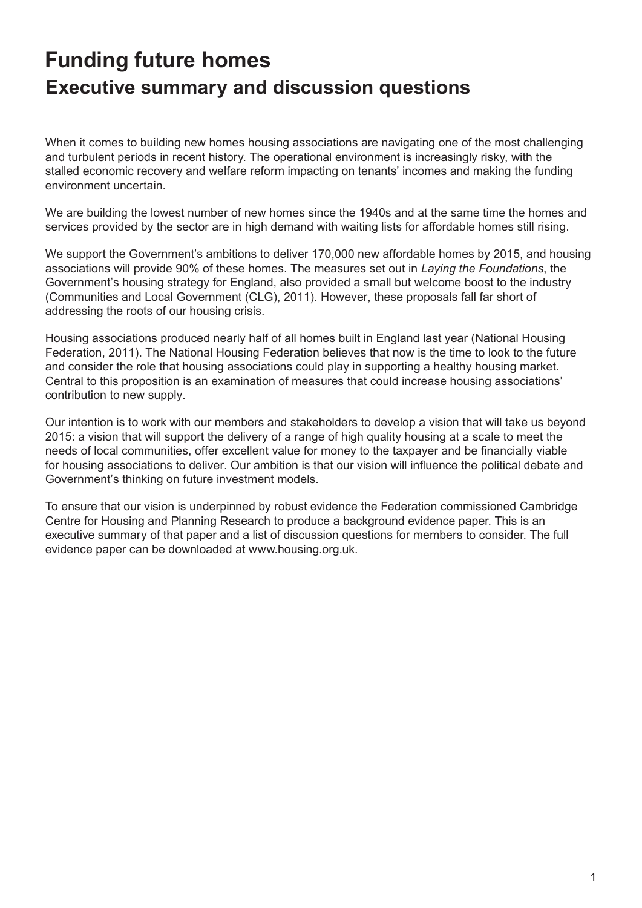# **Funding future homes Executive summary and discussion questions**

When it comes to building new homes housing associations are navigating one of the most challenging and turbulent periods in recent history. The operational environment is increasingly risky, with the stalled economic recovery and welfare reform impacting on tenants' incomes and making the funding environment uncertain.

We are building the lowest number of new homes since the 1940s and at the same time the homes and services provided by the sector are in high demand with waiting lists for affordable homes still rising.

We support the Government's ambitions to deliver 170,000 new affordable homes by 2015, and housing associations will provide 90% of these homes. The measures set out in *Laying the Foundations*, the Government's housing strategy for England, also provided a small but welcome boost to the industry (Communities and Local Government (CLG), 2011). However, these proposals fall far short of addressing the roots of our housing crisis.

Housing associations produced nearly half of all homes built in England last year (National Housing Federation, 2011). The National Housing Federation believes that now is the time to look to the future and consider the role that housing associations could play in supporting a healthy housing market. Central to this proposition is an examination of measures that could increase housing associations' contribution to new supply.

Our intention is to work with our members and stakeholders to develop a vision that will take us beyond 2015: a vision that will support the delivery of a range of high quality housing at a scale to meet the needs of local communities, offer excellent value for money to the taxpayer and be financially viable for housing associations to deliver. Our ambition is that our vision will influence the political debate and Government's thinking on future investment models.

To ensure that our vision is underpinned by robust evidence the Federation commissioned Cambridge Centre for Housing and Planning Research to produce a background evidence paper. This is an executive summary of that paper and a list of discussion questions for members to consider. The full evidence paper can be downloaded at www.housing.org.uk.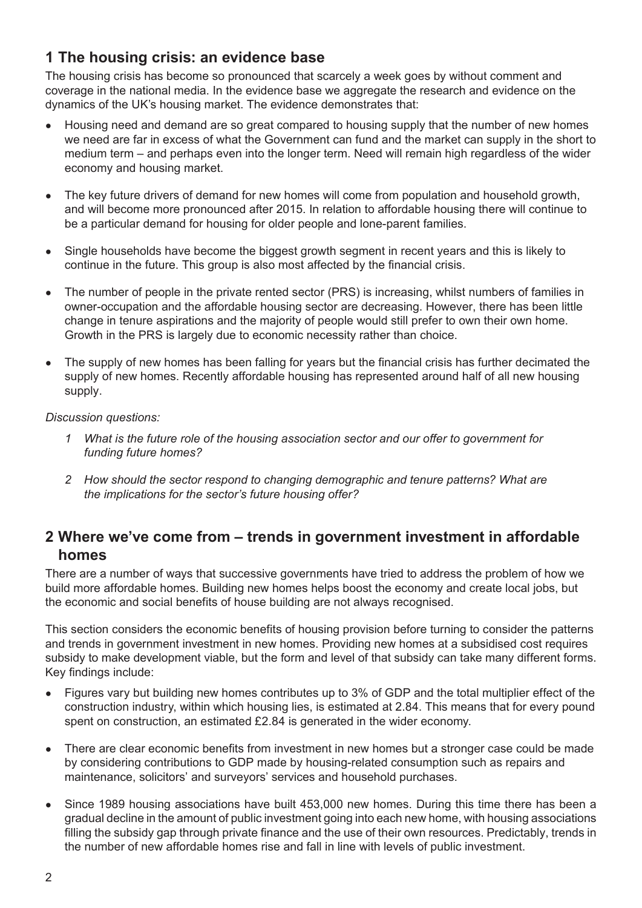#### **1 The housing crisis: an evidence base**

The housing crisis has become so pronounced that scarcely a week goes by without comment and coverage in the national media. In the evidence base we aggregate the research and evidence on the dynamics of the UK's housing market. The evidence demonstrates that:

- Housing need and demand are so great compared to housing supply that the number of new homes we need are far in excess of what the Government can fund and the market can supply in the short to medium term – and perhaps even into the longer term. Need will remain high regardless of the wider economy and housing market.
- The key future drivers of demand for new homes will come from population and household growth, and will become more pronounced after 2015. In relation to affordable housing there will continue to be a particular demand for housing for older people and lone-parent families.
- Single households have become the biggest growth segment in recent years and this is likely to continue in the future. This group is also most affected by the financial crisis.
- The number of people in the private rented sector (PRS) is increasing, whilst numbers of families in owner-occupation and the affordable housing sector are decreasing. However, there has been little change in tenure aspirations and the majority of people would still prefer to own their own home. Growth in the PRS is largely due to economic necessity rather than choice.
- The supply of new homes has been falling for years but the financial crisis has further decimated the supply of new homes. Recently affordable housing has represented around half of all new housing supply.

#### *Discussion questions:*

- *1 What is the future role of the housing association sector and our offer to government for funding future homes?*
- *2 How should the sector respond to changing demographic and tenure patterns? What are the implications for the sector's future housing offer?*

#### **2 Where we've come from – trends in government investment in affordable homes**

There are a number of ways that successive governments have tried to address the problem of how we build more affordable homes. Building new homes helps boost the economy and create local jobs, but the economic and social benefits of house building are not always recognised.

This section considers the economic benefits of housing provision before turning to consider the patterns and trends in government investment in new homes. Providing new homes at a subsidised cost requires subsidy to make development viable, but the form and level of that subsidy can take many different forms. Key findings include:

- Figures vary but building new homes contributes up to 3% of GDP and the total multiplier effect of the construction industry, within which housing lies, is estimated at 2.84. This means that for every pound spent on construction, an estimated £2.84 is generated in the wider economy.
- There are clear economic benefits from investment in new homes but a stronger case could be made by considering contributions to GDP made by housing-related consumption such as repairs and maintenance, solicitors' and surveyors' services and household purchases.
- Since 1989 housing associations have built 453,000 new homes. During this time there has been a gradual decline in the amount of public investment going into each new home, with housing associations filling the subsidy gap through private finance and the use of their own resources. Predictably, trends in the number of new affordable homes rise and fall in line with levels of public investment.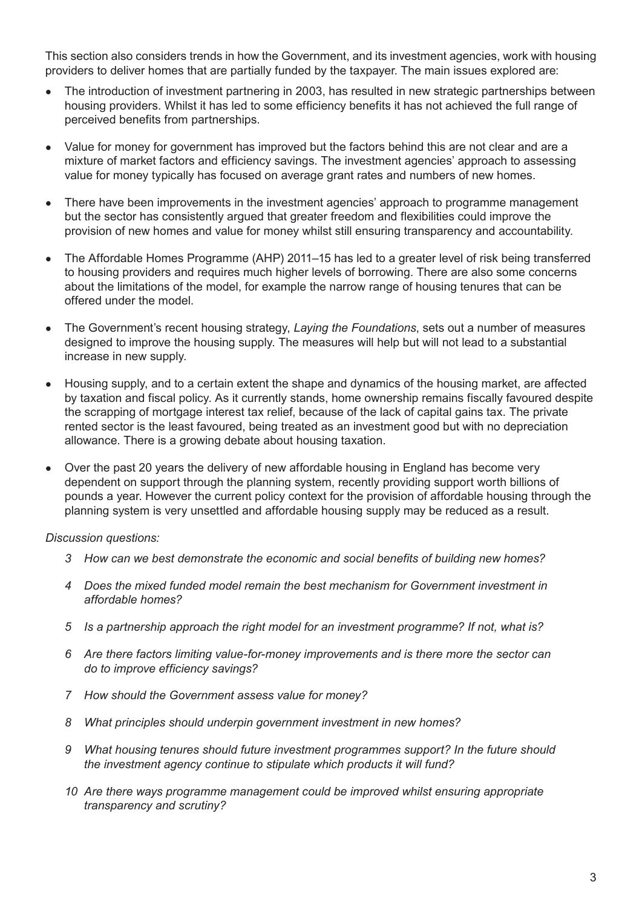This section also considers trends in how the Government, and its investment agencies, work with housing providers to deliver homes that are partially funded by the taxpayer. The main issues explored are:

- The introduction of investment partnering in 2003, has resulted in new strategic partnerships between housing providers. Whilst it has led to some efficiency benefits it has not achieved the full range of perceived benefits from partnerships.
- Value for money for government has improved but the factors behind this are not clear and are a mixture of market factors and efficiency savings. The investment agencies' approach to assessing value for money typically has focused on average grant rates and numbers of new homes.
- There have been improvements in the investment agencies' approach to programme management but the sector has consistently argued that greater freedom and flexibilities could improve the provision of new homes and value for money whilst still ensuring transparency and accountability.
- The Affordable Homes Programme (AHP) 2011–15 has led to a greater level of risk being transferred to housing providers and requires much higher levels of borrowing. There are also some concerns about the limitations of the model, for example the narrow range of housing tenures that can be offered under the model.
- The Government's recent housing strategy, *Laying the Foundations*, sets out a number of measures designed to improve the housing supply. The measures will help but will not lead to a substantial increase in new supply.
- Housing supply, and to a certain extent the shape and dynamics of the housing market, are affected by taxation and fiscal policy. As it currently stands, home ownership remains fiscally favoured despite the scrapping of mortgage interest tax relief, because of the lack of capital gains tax. The private rented sector is the least favoured, being treated as an investment good but with no depreciation allowance. There is a growing debate about housing taxation.
- Over the past 20 years the delivery of new affordable housing in England has become very dependent on support through the planning system, recently providing support worth billions of pounds a year. However the current policy context for the provision of affordable housing through the planning system is very unsettled and affordable housing supply may be reduced as a result.

*Discussion questions:*

- *3 How can we best demonstrate the economic and social benefits of building new homes?*
- *4 Does the mixed funded model remain the best mechanism for Government investment in affordable homes?*
- *5 Is a partnership approach the right model for an investment programme? If not, what is?*
- *6 Are there factors limiting value-for-money improvements and is there more the sector can do to improve efficiency savings?*
- *7 How should the Government assess value for money?*
- *8 What principles should underpin government investment in new homes?*
- *9 What housing tenures should future investment programmes support? In the future should the investment agency continue to stipulate which products it will fund?*
- *10 Are there ways programme management could be improved whilst ensuring appropriate transparency and scrutiny?*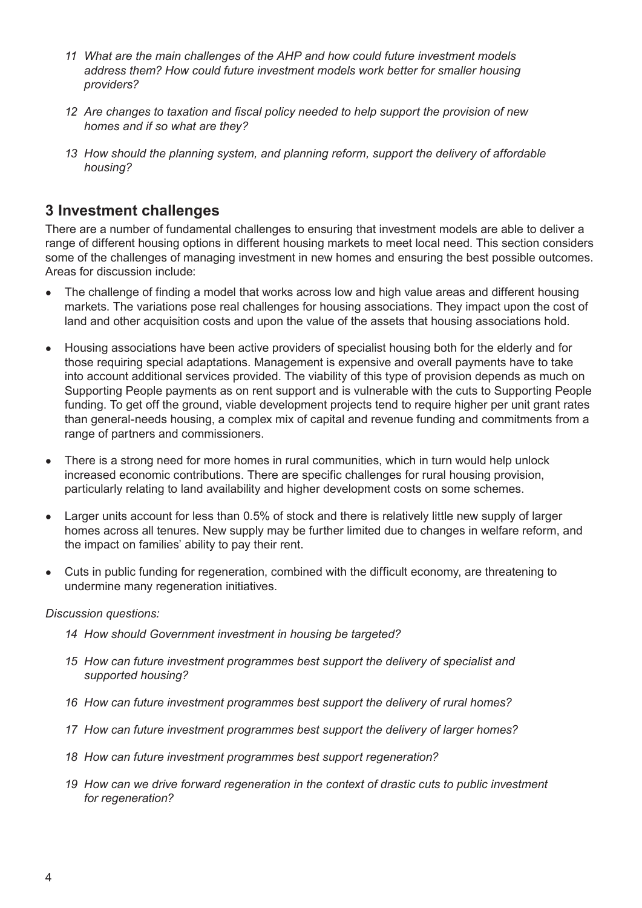- *11 What are the main challenges of the AHP and how could future investment models address them? How could future investment models work better for smaller housing providers?*
- *12 Are changes to taxation and fiscal policy needed to help support the provision of new homes and if so what are they?*
- *13 How should the planning system, and planning reform, support the delivery of affordable housing?*

#### **3 Investment challenges**

There are a number of fundamental challenges to ensuring that investment models are able to deliver a range of different housing options in different housing markets to meet local need. This section considers some of the challenges of managing investment in new homes and ensuring the best possible outcomes. Areas for discussion include:

- The challenge of finding a model that works across low and high value areas and different housing markets. The variations pose real challenges for housing associations. They impact upon the cost of land and other acquisition costs and upon the value of the assets that housing associations hold.
- Housing associations have been active providers of specialist housing both for the elderly and for those requiring special adaptations. Management is expensive and overall payments have to take into account additional services provided. The viability of this type of provision depends as much on Supporting People payments as on rent support and is vulnerable with the cuts to Supporting People funding. To get off the ground, viable development projects tend to require higher per unit grant rates than general-needs housing, a complex mix of capital and revenue funding and commitments from a range of partners and commissioners.
- There is a strong need for more homes in rural communities, which in turn would help unlock increased economic contributions. There are specific challenges for rural housing provision, particularly relating to land availability and higher development costs on some schemes.
- Larger units account for less than 0.5% of stock and there is relatively little new supply of larger homes across all tenures. New supply may be further limited due to changes in welfare reform, and the impact on families' ability to pay their rent.
- Cuts in public funding for regeneration, combined with the difficult economy, are threatening to undermine many regeneration initiatives.

#### *Discussion questions:*

- *14 How should Government investment in housing be targeted?*
- *15 How can future investment programmes best support the delivery of specialist and supported housing?*
- *16 How can future investment programmes best support the delivery of rural homes?*
- *17 How can future investment programmes best support the delivery of larger homes?*
- *18 How can future investment programmes best support regeneration?*
- *19 How can we drive forward regeneration in the context of drastic cuts to public investment for regeneration?*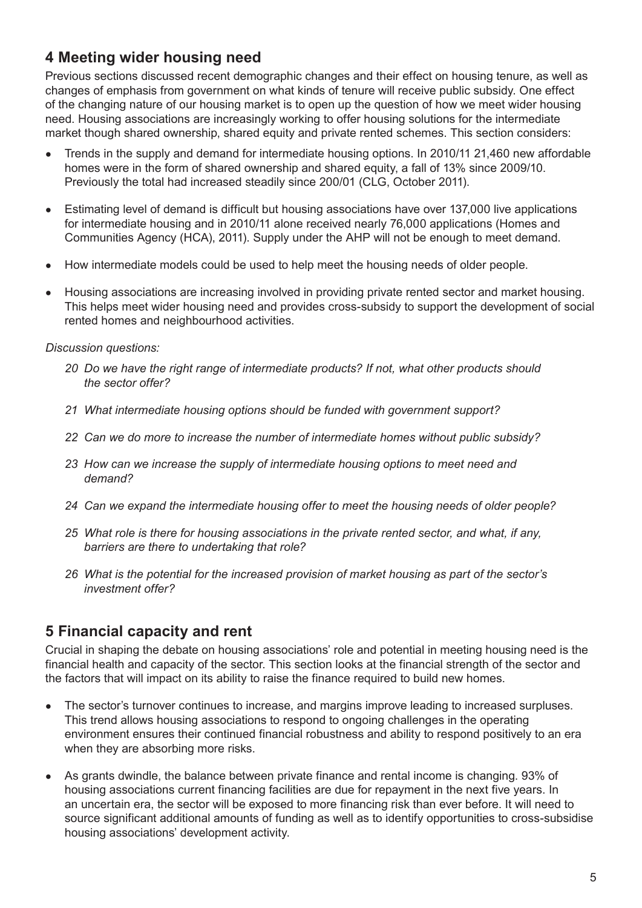### **4 Meeting wider housing need**

Previous sections discussed recent demographic changes and their effect on housing tenure, as well as changes of emphasis from government on what kinds of tenure will receive public subsidy. One effect of the changing nature of our housing market is to open up the question of how we meet wider housing need. Housing associations are increasingly working to offer housing solutions for the intermediate market though shared ownership, shared equity and private rented schemes. This section considers:

- Trends in the supply and demand for intermediate housing options. In 2010/11 21,460 new affordable homes were in the form of shared ownership and shared equity, a fall of 13% since 2009/10. Previously the total had increased steadily since 200/01 (CLG, October 2011).
- Estimating level of demand is difficult but housing associations have over 137,000 live applications for intermediate housing and in 2010/11 alone received nearly 76,000 applications (Homes and Communities Agency (HCA), 2011). Supply under the AHP will not be enough to meet demand.
- How intermediate models could be used to help meet the housing needs of older people.
- Housing associations are increasing involved in providing private rented sector and market housing. This helps meet wider housing need and provides cross-subsidy to support the development of social rented homes and neighbourhood activities.

#### *Discussion questions:*

- *20 Do we have the right range of intermediate products? If not, what other products should the sector offer?*
- *21 What intermediate housing options should be funded with government support?*
- *22 Can we do more to increase the number of intermediate homes without public subsidy?*
- *23 How can we increase the supply of intermediate housing options to meet need and demand?*
- *24 Can we expand the intermediate housing offer to meet the housing needs of older people?*
- *25 What role is there for housing associations in the private rented sector, and what, if any, barriers are there to undertaking that role?*
- *26 What is the potential for the increased provision of market housing as part of the sector's investment offer?*

#### **5 Financial capacity and rent**

Crucial in shaping the debate on housing associations' role and potential in meeting housing need is the financial health and capacity of the sector. This section looks at the financial strength of the sector and the factors that will impact on its ability to raise the finance required to build new homes.

- The sector's turnover continues to increase, and margins improve leading to increased surpluses. This trend allows housing associations to respond to ongoing challenges in the operating environment ensures their continued financial robustness and ability to respond positively to an era when they are absorbing more risks.
- As grants dwindle, the balance between private finance and rental income is changing. 93% of housing associations current financing facilities are due for repayment in the next five years. In an uncertain era, the sector will be exposed to more financing risk than ever before. It will need to source significant additional amounts of funding as well as to identify opportunities to cross-subsidise housing associations' development activity.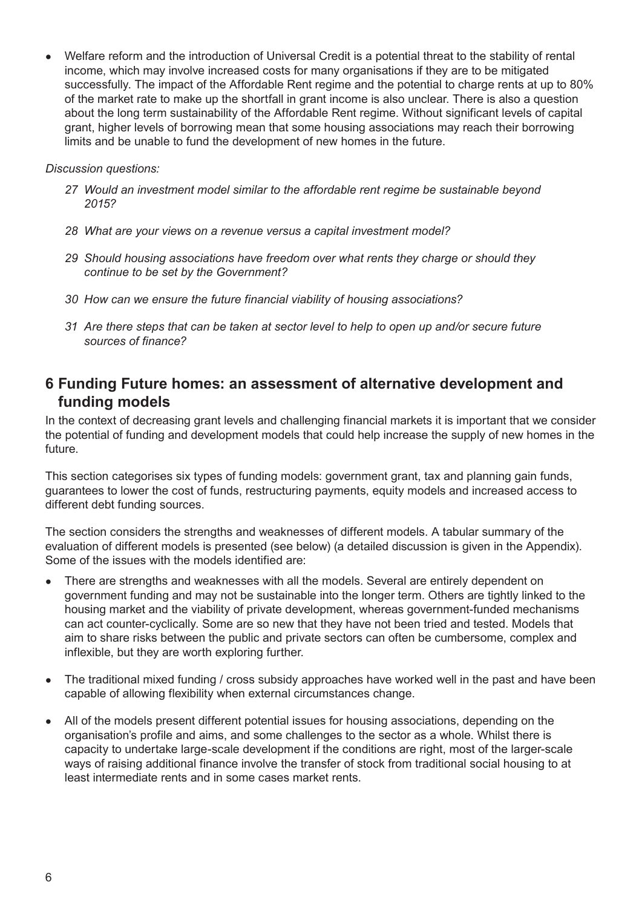• Welfare reform and the introduction of Universal Credit is a potential threat to the stability of rental income, which may involve increased costs for many organisations if they are to be mitigated successfully. The impact of the Affordable Rent regime and the potential to charge rents at up to 80% of the market rate to make up the shortfall in grant income is also unclear. There is also a question about the long term sustainability of the Affordable Rent regime. Without significant levels of capital grant, higher levels of borrowing mean that some housing associations may reach their borrowing limits and be unable to fund the development of new homes in the future.

*Discussion questions:*

- *27 Would an investment model similar to the affordable rent regime be sustainable beyond 2015?*
- *28 What are your views on a revenue versus a capital investment model?*
- *29 Should housing associations have freedom over what rents they charge or should they continue to be set by the Government?*
- *30 How can we ensure the future financial viability of housing associations?*
- *31 Are there steps that can be taken at sector level to help to open up and/or secure future sources of finance?*

#### **6 Funding Future homes: an assessment of alternative development and funding models**

In the context of decreasing grant levels and challenging financial markets it is important that we consider the potential of funding and development models that could help increase the supply of new homes in the future.

This section categorises six types of funding models: government grant, tax and planning gain funds, guarantees to lower the cost of funds, restructuring payments, equity models and increased access to different debt funding sources.

The section considers the strengths and weaknesses of different models. A tabular summary of the evaluation of different models is presented (see below) (a detailed discussion is given in the Appendix). Some of the issues with the models identified are:

- There are strengths and weaknesses with all the models. Several are entirely dependent on government funding and may not be sustainable into the longer term. Others are tightly linked to the housing market and the viability of private development, whereas government-funded mechanisms can act counter-cyclically. Some are so new that they have not been tried and tested. Models that aim to share risks between the public and private sectors can often be cumbersome, complex and inflexible, but they are worth exploring further.
- The traditional mixed funding / cross subsidy approaches have worked well in the past and have been capable of allowing flexibility when external circumstances change.
- All of the models present different potential issues for housing associations, depending on the organisation's profile and aims, and some challenges to the sector as a whole. Whilst there is capacity to undertake large-scale development if the conditions are right, most of the larger-scale ways of raising additional finance involve the transfer of stock from traditional social housing to at least intermediate rents and in some cases market rents.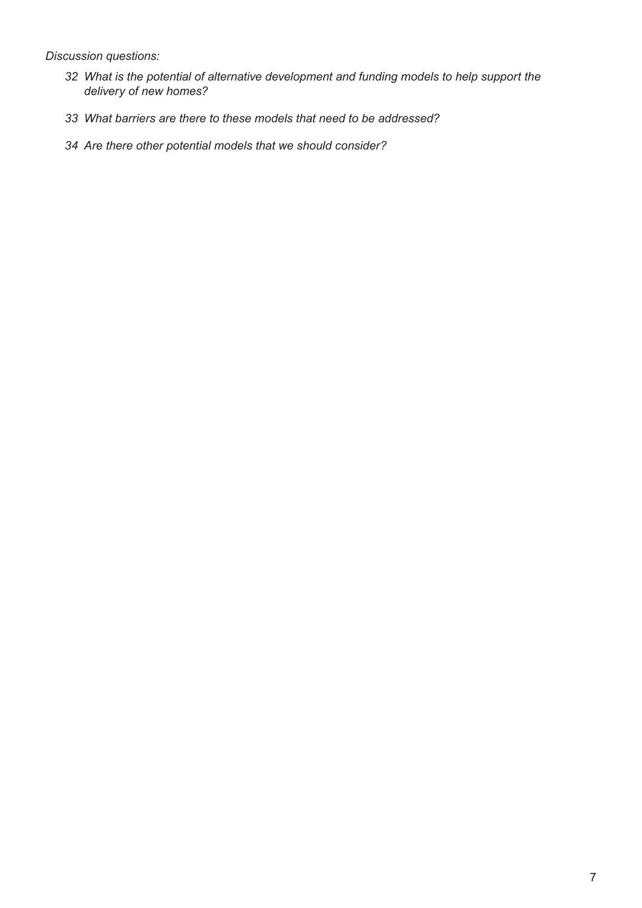*Discussion questions:*

- *What is the potential of alternative development and funding models to help support the delivery of new homes?*
- *What barriers are there to these models that need to be addressed?*
- *Are there other potential models that we should consider?*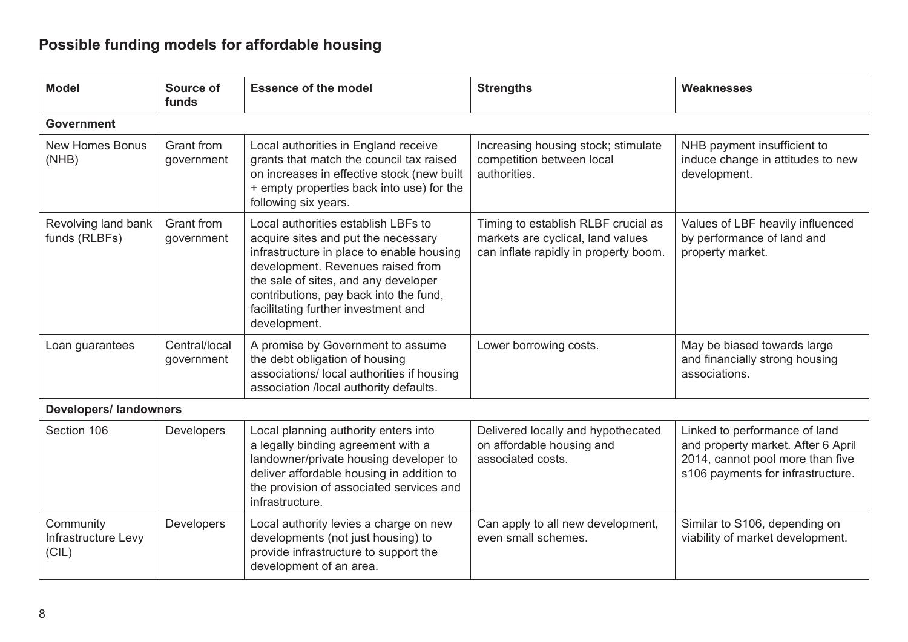# **Possible funding models for affordable housing**

| <b>Model</b>                              | Source of<br>funds              | <b>Essence of the model</b>                                                                                                                                                                                                                                                                           | <b>Strengths</b>                                                                                                  | <b>Weaknesses</b>                                                                                                                            |  |  |  |
|-------------------------------------------|---------------------------------|-------------------------------------------------------------------------------------------------------------------------------------------------------------------------------------------------------------------------------------------------------------------------------------------------------|-------------------------------------------------------------------------------------------------------------------|----------------------------------------------------------------------------------------------------------------------------------------------|--|--|--|
| <b>Government</b>                         |                                 |                                                                                                                                                                                                                                                                                                       |                                                                                                                   |                                                                                                                                              |  |  |  |
| <b>New Homes Bonus</b><br>(NHB)           | Grant from<br>government        | Local authorities in England receive<br>grants that match the council tax raised<br>on increases in effective stock (new built<br>+ empty properties back into use) for the<br>following six years.                                                                                                   | Increasing housing stock; stimulate<br>competition between local<br>authorities.                                  | NHB payment insufficient to<br>induce change in attitudes to new<br>development.                                                             |  |  |  |
| Revolving land bank<br>funds (RLBFs)      | <b>Grant from</b><br>government | Local authorities establish LBFs to<br>acquire sites and put the necessary<br>infrastructure in place to enable housing<br>development. Revenues raised from<br>the sale of sites, and any developer<br>contributions, pay back into the fund,<br>facilitating further investment and<br>development. | Timing to establish RLBF crucial as<br>markets are cyclical, land values<br>can inflate rapidly in property boom. | Values of LBF heavily influenced<br>by performance of land and<br>property market.                                                           |  |  |  |
| Loan guarantees                           | Central/local<br>government     | A promise by Government to assume<br>the debt obligation of housing<br>associations/ local authorities if housing<br>association /local authority defaults.                                                                                                                                           | Lower borrowing costs.                                                                                            | May be biased towards large<br>and financially strong housing<br>associations.                                                               |  |  |  |
| <b>Developers/ landowners</b>             |                                 |                                                                                                                                                                                                                                                                                                       |                                                                                                                   |                                                                                                                                              |  |  |  |
| Section 106                               | Developers                      | Local planning authority enters into<br>a legally binding agreement with a<br>landowner/private housing developer to<br>deliver affordable housing in addition to<br>the provision of associated services and<br>infrastructure.                                                                      | Delivered locally and hypothecated<br>on affordable housing and<br>associated costs.                              | Linked to performance of land<br>and property market. After 6 April<br>2014, cannot pool more than five<br>s106 payments for infrastructure. |  |  |  |
| Community<br>Infrastructure Levy<br>(CIL) | Developers                      | Local authority levies a charge on new<br>developments (not just housing) to<br>provide infrastructure to support the<br>development of an area.                                                                                                                                                      | Can apply to all new development,<br>even small schemes.                                                          | Similar to S106, depending on<br>viability of market development.                                                                            |  |  |  |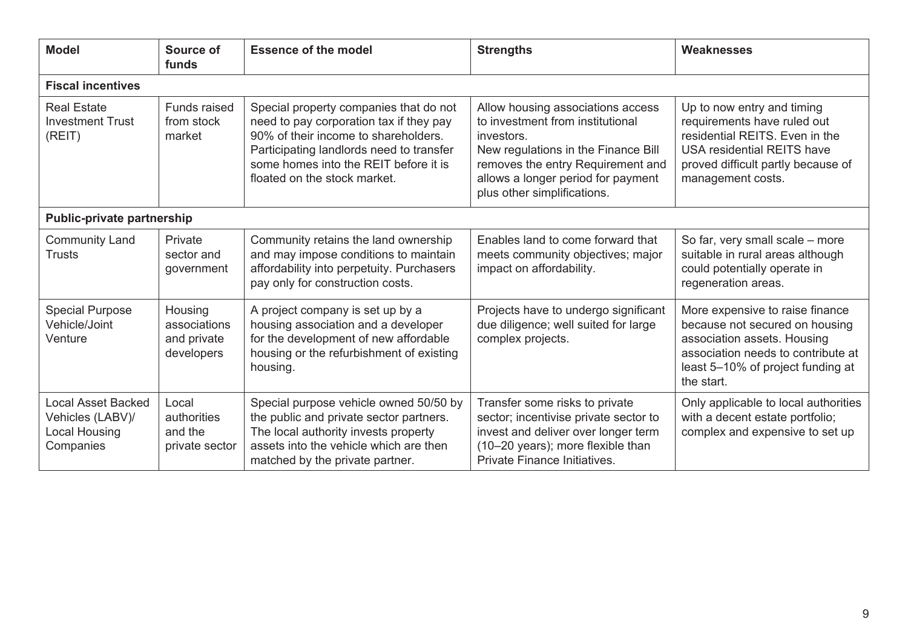| <b>Model</b>                                                                       | Source of<br>funds                                   | <b>Essence of the model</b>                                                                                                                                                                                                                    | <b>Strengths</b>                                                                                                                                                                                                                     | Weaknesses                                                                                                                                                                                  |  |  |  |
|------------------------------------------------------------------------------------|------------------------------------------------------|------------------------------------------------------------------------------------------------------------------------------------------------------------------------------------------------------------------------------------------------|--------------------------------------------------------------------------------------------------------------------------------------------------------------------------------------------------------------------------------------|---------------------------------------------------------------------------------------------------------------------------------------------------------------------------------------------|--|--|--|
| <b>Fiscal incentives</b>                                                           |                                                      |                                                                                                                                                                                                                                                |                                                                                                                                                                                                                                      |                                                                                                                                                                                             |  |  |  |
| <b>Real Estate</b><br><b>Investment Trust</b><br>(REIT)                            | Funds raised<br>from stock<br>market                 | Special property companies that do not<br>need to pay corporation tax if they pay<br>90% of their income to shareholders.<br>Participating landlords need to transfer<br>some homes into the REIT before it is<br>floated on the stock market. | Allow housing associations access<br>to investment from institutional<br>investors.<br>New regulations in the Finance Bill<br>removes the entry Requirement and<br>allows a longer period for payment<br>plus other simplifications. | Up to now entry and timing<br>requirements have ruled out<br>residential REITS. Even in the<br><b>USA residential REITS have</b><br>proved difficult partly because of<br>management costs. |  |  |  |
| <b>Public-private partnership</b>                                                  |                                                      |                                                                                                                                                                                                                                                |                                                                                                                                                                                                                                      |                                                                                                                                                                                             |  |  |  |
| <b>Community Land</b><br><b>Trusts</b>                                             | Private<br>sector and<br>government                  | Community retains the land ownership<br>and may impose conditions to maintain<br>affordability into perpetuity. Purchasers<br>pay only for construction costs.                                                                                 | Enables land to come forward that<br>meets community objectives; major<br>impact on affordability.                                                                                                                                   | So far, very small scale - more<br>suitable in rural areas although<br>could potentially operate in<br>regeneration areas.                                                                  |  |  |  |
| <b>Special Purpose</b><br>Vehicle/Joint<br>Venture                                 | Housing<br>associations<br>and private<br>developers | A project company is set up by a<br>housing association and a developer<br>for the development of new affordable<br>housing or the refurbishment of existing<br>housing.                                                                       | Projects have to undergo significant<br>due diligence; well suited for large<br>complex projects.                                                                                                                                    | More expensive to raise finance<br>because not secured on housing<br>association assets. Housing<br>association needs to contribute at<br>least 5-10% of project funding at<br>the start.   |  |  |  |
| <b>Local Asset Backed</b><br>Vehicles (LABV)/<br><b>Local Housing</b><br>Companies | Local<br>authorities<br>and the<br>private sector    | Special purpose vehicle owned 50/50 by<br>the public and private sector partners.<br>The local authority invests property<br>assets into the vehicle which are then<br>matched by the private partner.                                         | Transfer some risks to private<br>sector; incentivise private sector to<br>invest and deliver over longer term<br>(10-20 years); more flexible than<br>Private Finance Initiatives.                                                  | Only applicable to local authorities<br>with a decent estate portfolio;<br>complex and expensive to set up                                                                                  |  |  |  |